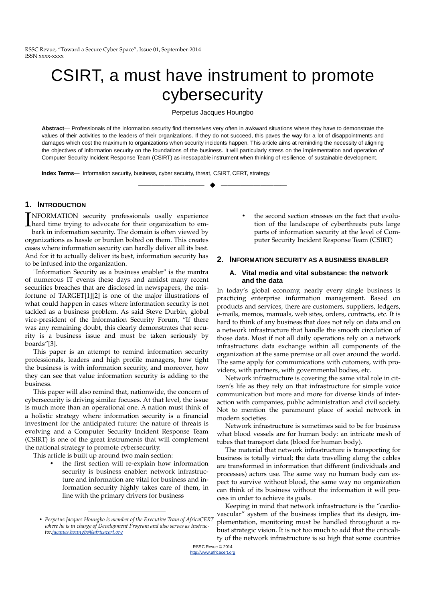# CSIRT, a must have instrument to promote cybersecurity

Perpetus Jacques Houngbo

**Abstract**— Professionals of the information security find themselves very often in awkward situations where they have to demonstrate the values of their activities to the leaders of their organizations. If they do not succeed, this paves the way for a lot of disappointments and damages which cost the maximum to organizations when security incidents happen. This article aims at reminding the necessity of aligning the objectives of information security on the foundations of the business. It will particularly stress on the implementation and operation of Computer Security Incident Response Team (CSIRT) as inescapable instrument when thinking of resilience, of sustainable development.

—————————— ——————————

**Index Terms**— Information security, business, cyber secuirty, threat, CSIRT, CERT, strategy.

### **1. INTRODUCTION**

**INFORMATION** security professionals usally experience<br>hard time trying to advocate for their organization to em-<br>hark in information security. The domain is often viewed by hard time trying to advocate for their organization to embark in information security. The domain is often viewed by organizations as hassle or burden bolted on them. This creates cases where information security can hardly deliver all its best. And for it to actually deliver its best, information security has to be infused into the organization.

"Information Security as a business enabler" is the mantra of numerous IT events these days and amidst many recent securities breaches that are disclosed in newspapers, the misfortune of TARGET[1][2] is one of the major illustrations of what could happen in cases where information security is not tackled as a business problem. As said Steve Durbin, global vice-president of the Information Security Forum, "If there was any remaining doubt, this clearly demonstrates that security is a business issue and must be taken seriously by boards"[3].

This paper is an attempt to remind information security professionals, leaders and high profile managers, how tight the business is with information security, and moreover, how they can see that value information security is adding to the business.

This paper will also remind that, nationwide, the concern of cybersecurity is driving similar focuses. At that level, the issue is much more than an operational one. A nation must think of a holistic strategy where information security is a financial investment for the anticipated future: the nature of threats is evolving and a Computer Security Incident Response Team (CSIRT) is one of the great instruments that will complement the national strategy to promote cybersecurity.

This article is built up around two main section:

the first section will re-explain how information security is business enabler: network infrastructure and information are vital for business and information security highly takes care of them, in line with the primary drivers for business

————————————————

the second section stresses on the fact that evolution of the landscape of cyberthreats puts large parts of information security at the level of Computer Security Incident Response Team (CSIRT)

#### **2. INFORMATION SECURITY AS A BUSINESS ENABLER**

#### **A. Vital media and vital substance: the network and the data**

In today's global economy, nearly every single business is practicing enterprise information management. Based on products and services, there are customers, suppliers, ledgers, e-mails, memos, manuals, web sites, orders, contracts, etc. It is hard to think of any business that does not rely on data and on a network infrastructure that handle the smooth circulation of those data. Most if not all daily operations rely on a network infrastructure: data exchange within all components of the organization at the same premise or all over around the world. The same apply for communications with cutomers, with providers, with partners, with governmental bodies, etc.

Network infrastructure is covering the same vital role in citizen's life as they rely on that infrastructure for simple voice communication but more and more for diverse kinds of interaction with companies, public administration and civil society. Not to mention the paramount place of social network in modern societies.

Network infrastructure is sometimes said to be for business what blood vessels are for human body: an intricate mesh of tubes that transport data (blood for human body).

The material that network infrastructure is transporting for business is totally virtual; the data travelling along the cables are transformed in information that different (individuals and processes) actors use. The same way no human body can expect to survive without blood, the same way no organization can think of its business without the information it will process in order to achieve its goals.

Keeping in mind that network infrastructure is the "cardiovascular" system of the business implies that its design, implementation, monitoring must be handled throughout a robust strategic vision. It is not too much to add that the criticality of the network infrastructure is so high that some countries

<sup>•</sup> *Perpetus Jacques Houngbo is member of the Executive Team of AfricaCERT where he is in charge of Development Program and also serves as Instructor,jacques.houngbo@africacert.org*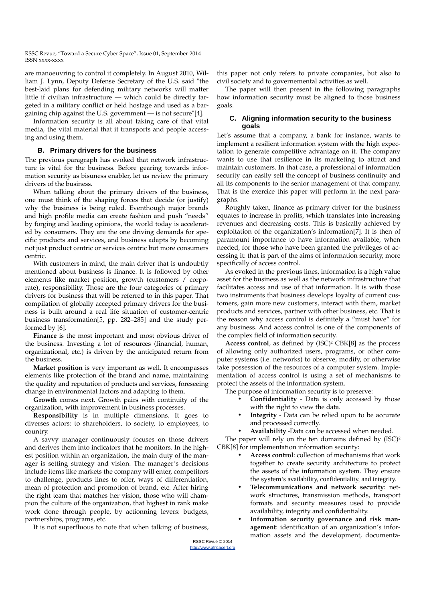are manoeuvring to control it completely. In August 2010, William J. Lynn, Deputy Defense Secretary of the U.S. said "the best-laid plans for defending military networks will matter little if civilian infrastructure — which could be directly targeted in a military conflict or held hostage and used as a bargaining chip against the U.S. government — is not secure"[4].

Information security is all about taking care of that vital media, the vital material that it transports and people accessing and using them.

#### **B. Primary drivers for the business**

The previous paragraph has evoked that network infrastructure is vital for the business. Before gearing towards information security as bisuness enabler, let us review the primary drivers of the business.

When talking about the primary drivers of the business, one must think of the shaping forces that decide (or justify) why the business is being ruled. Eventhough major brands and high profile media can create fashion and push "needs" by forging and leading opinions, the world today is accelerated by consumers. They are the one driving demands for specific products and services, and business adapts by becoming not just product centric or services centric but more consumers centric.

With customers in mind, the main driver that is undoubtly mentioned about business is finance. It is followed by other elements like market position, growth (customers / corporate), responsibility. Those are the four categories of primary drivers for business that will be referred to in this paper. That compilation of globally accepted primary drivers for the business is built around a real life situation of customer-centric business transformation[5, pp. 282–285] and the study performed by [6].

**Finance** is the most important and most obvious driver of the business. Investing a lot of resources (financial, human, organizational, etc.) is driven by the anticipated return from the business.

**Market position** is very important as well. It encompasses elements like protection of the brand and name, maintaining the quality and reputation of products and services, foreseeing change in environmental factors and adapting to them.

**Growth** comes next. Growth pairs with continuity of the organization, with improvement in business processes.

**Responsibility** is in multiple dimensions. It goes to diverses actors: to shareholders, to society, to employees, to country.

A savvy manager continuously focuses on those drivers and derives them into indicators that he monitors. In the highest position within an organization, the main duty of the manager is setting strategy and vision. The manager's decisions include items like markets the company will enter, competitors to challenge, products lines to offer, ways of differentiation, mean of protection and promotion of brand, etc. After hiring the right team that matches her vision, those who will champion the culture of the organization, that highest in rank make work done through people, by actionning levers: budgets, partnerships, programs, etc.

It is not superfluous to note that when talking of business,

this paper not only refers to private companies, but also to civil society and to governemental activities as well.

The paper will then present in the following paragraphs how information security must be aligned to those business goals.

#### **C. Aligning information security to the business goals**

Let's assume that a company, a bank for instance, wants to implement a resilient information system with the high expectation to generate competitive advantage on it. The company wants to use that resilience in its marketing to attract and maintain customers. In that case, a professional of information security can easily sell the concept of business continuity and all its components to the senior management of that company. That is the exercice this paper will perform in the next paragraphs.

Roughly taken, finance as primary driver for the business equates to increase in profits, which translates into increasing revenues and decreasing costs. This is basically achieved by exploitation of the organization's information[7]. It is then of paramount importance to have information available, when needed, for those who have been granted the privileges of accessing it: that is part of the aims of information security, more specifically of access control.

As evoked in the previous lines, information is a high value asset for the business as well as the network infrastructure that facilitates access and use of that information. It is with those two instruments that business develops loyalty of current customers, gain more new customers, interact with them, market products and services, partner with other business, etc. That is the reason why access control is definitely a "must have" for any business. And access control is one of the components of the complex field of information security.

**Access control**, as defined by (ISC)² CBK[8] as the process of allowing only authorized users, programs, or other computer systems (i.e. networks) to observe, modify, or otherwise take possession of the resources of a computer system. Implementation of access control is using a set of mechanisms to protect the assets of the information system.

The purpose of information security is to preserve:

- **Confidentiality** Data is only accessed by those with the right to view the data.
- **Integrity** Data can be relied upon to be accurate and processed correctly.
- **Availability** -Data can be accessed when needed.

The paper will rely on the ten domains defined by  $(ISC)^2$ CBK[8] for implementation information security:

- **Access control**: collection of mechanisms that work together to create security architecture to protect the assets of the information system. They ensure the system's availability, confidentiality, and integrity.
- **Telecommunications and network security**: network structures, transmission methods, transport formats and security measures used to provide availability, integrity and confidentiality.
- Information security governance and risk man**agement**: identification of an organization's information assets and the development, documenta-

RSSC Revue © 2014 http://www.africacert.org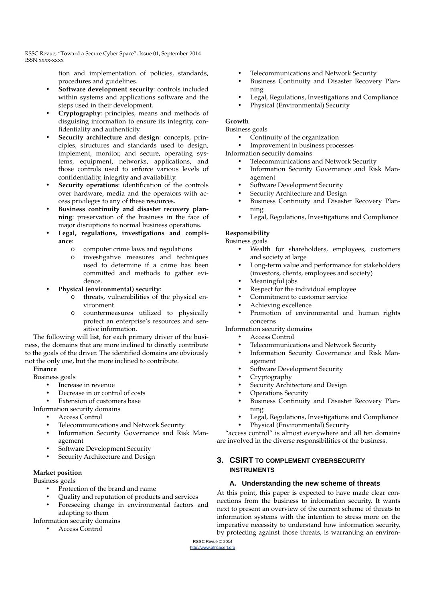> tion and implementation of policies, standards, procedures and guidelines.

- **Software development security**: controls included within systems and applications software and the steps used in their development.
- **Cryptography**: principles, means and methods of disguising information to ensure its integrity, confidentiality and authenticity.
- **Security architecture and design**: concepts, principles, structures and standards used to design, implement, monitor, and secure, operating systems, equipment, networks, applications, and those controls used to enforce various levels of confidentiality, integrity and availability.
- **Security operations:** identification of the controls over hardware, media and the operators with access privileges to any of these resources.
- Business continuity and disaster recovery plan**ning**: preservation of the business in the face of major disruptions to normal business operations.
- Legal, regulations, investigations and compli**ance**:
	- o computer crime laws and regulations
	- o investigative measures and techniques used to determine if a crime has been committed and methods to gather evidence.
- **Physical (environmental) security**:
	- o threats, vulnerabilities of the physical environment
	- o countermeasures utilized to physically protect an enterprise's resources and sensitive information.

The following will list, for each primary driver of the business, the domains that are more inclined to directly contribute to the goals of the driver. The identified domains are obviously not the only one, but the more inclined to contribute.

## **Finance**

Business goals

- Increase in revenue
- Decrease in or control of costs

Extension of customers base

- Information security domains
	- Access Control
	- Telecommunications and Network Security
	- Information Security Governance and Risk Management
	- Software Development Security
	- Security Architecture and Design

### **Market position**

Business goals

- Protection of the brand and name
- Quality and reputation of products and services
- Foreseeing change in environmental factors and adapting to them

Information security domains

• Access Control

- Telecommunications and Network Security
- Business Continuity and Disaster Recovery Planning
- Legal, Regulations, Investigations and Compliance
- Physical (Environmental) Security

### **Growth**

Business goals

- Continuity of the organization
- Improvement in business processes

Information security domains

- Telecommunications and Network Security
- Information Security Governance and Risk Management
- Software Development Security
- Security Architecture and Design
- Business Continuity and Disaster Recovery Planning
- Legal, Regulations, Investigations and Compliance

## **Responsibility**

Business goals

- Wealth for shareholders, employees, customers and society at large
- Long-term value and performance for stakeholders (investors, clients, employees and society)
- Meaningful jobs
- Respect for the individual employee
- Commitment to customer service
- Achieving excellence
- Promotion of environmental and human rights concerns

Information security domains

- Access Control
- Telecommunications and Network Security
- Information Security Governance and Risk Management
- Software Development Security
- Cryptography
- Security Architecture and Design
- Operations Security
- Business Continuity and Disaster Recovery Planning
- Legal, Regulations, Investigations and Compliance
- Physical (Environmental) Security

"access control" is almost everywhere and all ten domains are involved in the diverse responsibilities of the business.

## **3. CSIRT TO COMPLEMENT CYBERSECURITY INSTRUMENTS**

### **A. Understanding the new scheme of threats**

At this point, this paper is expected to have made clear connections from the business to information security. It wants next to present an overview of the current scheme of threats to information systems with the intention to stress more on the imperative necessity to understand how information security, by protecting against those threats, is warranting an environ-

RSSC Revue © 2014 http://www.africacert.org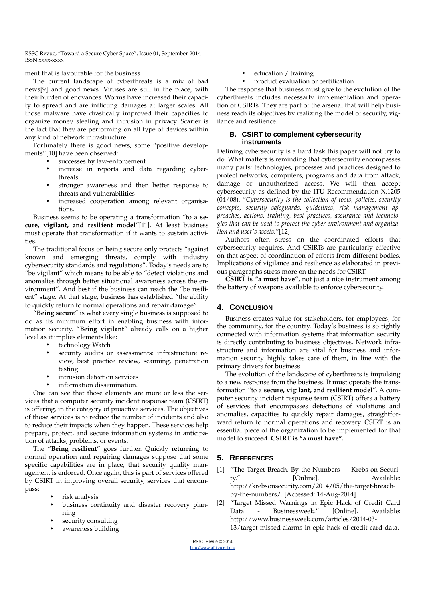ment that is favourable for the business.

The current landscape of cyberthreats is a mix of bad news[9] and good news. Viruses are still in the place, with their burden of enoyances. Worms have increased their capacity to spread and are inflicting damages at larger scales. All those malware have drastically improved their capacities to organize money stealing and intrusion in privacy. Scarier is the fact that they are performing on all type of devices within any kind of network infrastructure.

Fortunately there is good news, some "positive developments"[10] have been observed:

- successes by law-enforcement
- increase in reports and data regarding cyberthreats
- stronger awareness and then better response to threats and vulnerabilities
- increased cooperation among relevant organisations.

Business seems to be operating a transformation "to a **secure, vigilant, and resilient model**"[11]. At least business must operate that transformation if it wants to sustain activities.

The traditional focus on being secure only protects "against known and emerging threats, comply with industry cybersecurity standards and regulations". Today's needs are to "be vigilant" which means to be able to "detect violations and anomalies through better situational awareness across the environment". And best if the business can reach the "be resilient" stage. At that stage, business has established "the ability to quickly return to normal operations and repair damage".

"**Being secure**" is what every single business is supposed to do as its minimum effort in enabling business with information security. "**Being vigilant**" already calls on a higher level as it implies elements like:

- technology Watch
- security audits or assessments: infrastructure review, best practice review, scanning, penetration testing
- intrusion detection services
- information dissemination.

One can see that those elements are more or less the services that a computer security incident response team (CSIRT) is offering, in the category of proactive services. The objectives of those services is to reduce the number of incidents and also to reduce their impacts when they happen. These services help prepare, protect, and secure information systems in anticipation of attacks, problems, or events.

The "**Being resilient**" goes further. Quickly returning to normal operation and repairing damages suppose that some specific capabilities are in place, that security quality management is enforced. Once again, this is part of services offered by CSIRT in improving overall security, services that encompass:

- risk analysis
- business continuity and disaster recovery planning
- security consulting
- awareness building
- education / training
- product evaluation or certification.

The response that business must give to the evolution of the cyberthreats includes necessarly implementation and operation of CSIRTs. They are part of the arsenal that will help business reach its objectives by realizing the model of security, vigilance and resilience.

#### **B. CSIRT to complement cybersecurity instruments**

Defining cybersecurity is a hard task this paper will not try to do. What matters is reminding that cybersecurity encompasses many parts: technologies, processes and practices designed to protect networks, computers, programs and data from attack, damage or unauthorized access. We will then accept cybersecurity as defined by the ITU Recommendation X.1205 (04/08). "*Cybersecurity is the collection of tools, policies, security concepts, security safeguards, guidelines, risk management approaches, actions, training, best practices, assurance and technologies that can be used to protect the cyber environment and organization and user's assets.*"[12]

Authors often stress on the coordinated efforts that cybersecurity requires. And CSIRTs are particularly effective on that aspect of coordination of efforts from different bodies. Implications of vigilance and resilience as elaborated in previous paragraphs stress more on the needs for CSIRT.

**CSIRT is "a must have"**, not just a nice instrument among the battery of weapons available to enforce cybersecurity.

### **4. CONCLUSION**

Business creates value for stakeholders, for employees, for the community, for the country. Today's business is so tightly connected with information systems that information security is directly contributing to business objectives. Network infrastructure and information are vital for business and information security highly takes care of them, in line with the primary drivers for business

The evolution of the landscape of cyberthreats is impulsing to a new response from the business. It must operate the transformation "to a **secure, vigilant, and resilient model**". A computer security incident response team (CSIRT) offers a battery of services that encompasses detections of violations and anomalies, capacities to quickly repair damages, straightforward return to normal operations and recovery. CSIRT is an essential piece of the organization to be implemented for that model to succeed. **CSIRT is "a must have".**

# **5. REFERENCES**

[1] "The Target Breach, By the Numbers — Krebs on Security." [Online]. Available: http://krebsonsecurity.com/2014/05/the-target-breachby-the-numbers/. [Accessed: 14-Aug-2014].

[2] "Target Missed Warnings in Epic Hack of Credit Card Data - Businessweek." [Online]. Available: http://www.businessweek.com/articles/2014-03- 13/target-missed-alarms-in-epic-hack-of-credit-card-data.

RSSC Revue © 2014 http://www.africacert.org